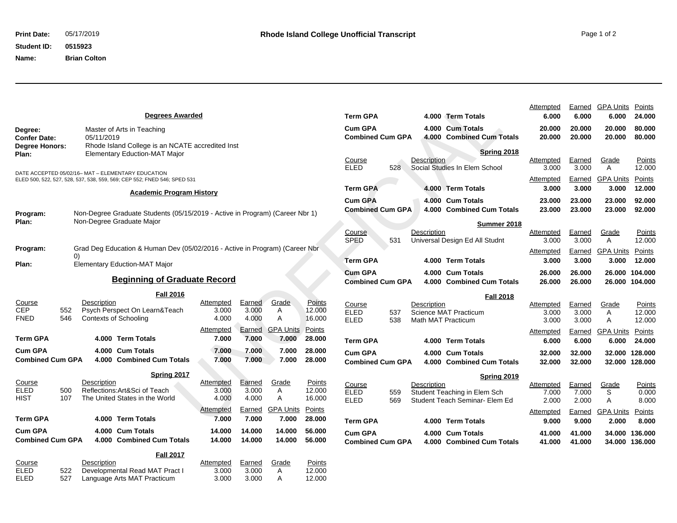## **Student ID: 0515923**

**Name: Brian Colton**

Points<br>**12.000** 

| <b>Degrees Awarded</b>                                                                                                                                       |                                                                                                                        | <b>Term GPA</b>                                                                         | 4.000 Term Totals                                                             | Attempted<br>6.000          | Earned<br>6.000          | <b>GPA Units</b><br>6.000        | Points<br>24.000           |
|--------------------------------------------------------------------------------------------------------------------------------------------------------------|------------------------------------------------------------------------------------------------------------------------|-----------------------------------------------------------------------------------------|-------------------------------------------------------------------------------|-----------------------------|--------------------------|----------------------------------|----------------------------|
| Master of Arts in Teaching<br>Degree:<br><b>Confer Date:</b><br>05/11/2019                                                                                   |                                                                                                                        | <b>Cum GPA</b><br><b>Combined Cum GPA</b>                                               | 4.000 Cum Totals<br>4.000 Combined Cum Totals                                 | 20.000<br>20.000            | 20.000<br>20.000         | 20.000<br>20.000                 | 80.000<br>80.000           |
| <b>Degree Honors:</b><br>Rhode Island College is an NCATE accredited Inst<br><b>Elementary Eduction-MAT Major</b><br>Plan:                                   |                                                                                                                        | <b>Description</b><br>Course                                                            | <b>Spring 2018</b>                                                            | <b>Attempted</b>            | Earned                   | Grade                            | Points                     |
| DATE ACCEPTED 05/02/16-MAT - ELEMENTARY EDUCATION<br>ELED 500, 522, 527, 528, 537, 538, 559, 569; CEP 552; FNED 546; SPED 531                                |                                                                                                                        | <b>ELED</b><br>528                                                                      | Social Studies In Elem School                                                 | 3.000<br>Attempted          | 3.000<br>Earned          | A<br><b>GPA Units</b>            | 12.000<br>Points           |
| <b>Academic Program History</b>                                                                                                                              | <b>Term GPA</b>                                                                                                        | 4.000 Term Totals                                                                       | 3.000                                                                         | 3.000                       | 3.000                    | 12.000                           |                            |
|                                                                                                                                                              |                                                                                                                        | <b>Cum GPA</b><br><b>Combined Cum GPA</b>                                               | 4.000 Cum Totals<br>4.000 Combined Cum Totals                                 | 23.000<br>23.000            | 23.000<br>23.000         | 23.000<br>23.000                 | 92.000<br>92.000           |
| Non-Degree Graduate Students (05/15/2019 - Active in Program) (Career Nbr 1)<br>Program:<br>Non-Degree Graduate Major<br>Plan:                               |                                                                                                                        |                                                                                         | Summer 2018                                                                   |                             |                          |                                  |                            |
|                                                                                                                                                              |                                                                                                                        | <b>Course</b><br>Description<br>SPED<br>531                                             | Universal Design Ed All Studnt                                                | <b>Attempted</b><br>3.000   | Earned<br>3.000          | Grade<br>A                       | <u>Points</u><br>12.000    |
| Grad Deg Education & Human Dev (05/02/2016 - Active in Program) (Career Nbr<br>Program:                                                                      |                                                                                                                        | <b>Term GPA</b>                                                                         | 4.000 Term Totals                                                             | <b>Attempted</b><br>3.000   | <u>Earned</u><br>3.000   | <b>GPA Units</b><br>3.000        | Points<br>12.000           |
| <b>Elementary Eduction-MAT Major</b><br>Plan:                                                                                                                |                                                                                                                        | <b>Cum GPA</b>                                                                          | 4.000 Cum Totals                                                              | 26,000                      | 26.000                   | 26.000                           | 104.000                    |
| <b>Beginning of Graduate Record</b>                                                                                                                          |                                                                                                                        | <b>Combined Cum GPA</b>                                                                 | 4.000 Combined Cum Totals                                                     | 26.000                      | 26.000                   | 26.000                           | 104.000                    |
| <b>Fall 2016</b><br>Description<br><b>Course</b><br><b>CEP</b><br>Psych Perspect On Learn&Teach<br>552<br><b>FNED</b><br>546<br><b>Contexts of Schooling</b> | Grade<br>Earned<br><b>Points</b><br><b>Attempted</b><br>3.000<br>3.000<br>A<br>12.000<br>16.000<br>4.000<br>4.000<br>A | Course<br>Description<br><b>ELED</b><br>537<br><b>ELED</b><br>538<br>Math MAT Practicum | <b>Fall 2018</b><br>Science MAT Practicum                                     | Attempted<br>3.000<br>3.000 | Earned<br>3.000<br>3.000 | Grade<br>$\mathsf{A}$<br>Α       | Points<br>12.000<br>12.000 |
| <b>Term GPA</b><br>4.000 Term Totals                                                                                                                         | <b>GPA Units</b><br>Points<br>Attempted<br>Earned<br>7.000<br>7.000<br>7.000<br>28.000                                 | <b>Term GPA</b>                                                                         | 4.000 Term Totals                                                             | <b>Attempted</b><br>6.000   | Earned<br>6.000          | <b>GPA Units</b><br>6.000        | Points<br>24.000           |
| <b>Cum GPA</b><br>4.000 Cum Totals<br><b>Combined Cum GPA</b><br>4.000 Combined Cum Totals                                                                   | 7.000<br>7.000<br>28.000<br>7.000<br>7.000<br>7.000<br>28.000<br>7.000                                                 | <b>Cum GPA</b><br><b>Combined Cum GPA</b>                                               | 4.000 Cum Totals<br>4.000 Combined Cum Totals                                 | 32.000<br>32.000            | 32.000<br>32.000         | 32.000<br>32.000                 | 128,000<br>128.000         |
| <b>Spring 2017</b><br>Course<br>Description<br><b>ELED</b><br>Reflections: Art&Sci of Teach<br>500<br><b>HIST</b><br>107<br>The United States in the World   | Earned<br>Attempted<br>Grade<br>Points<br>3.000<br>A<br>12.000<br>3.000<br>4.000<br>A<br>4.000<br>16.000               | Course<br>Description<br><b>ELED</b><br>559<br><b>ELED</b><br>569                       | Spring 2019<br>Student Teaching in Elem Sch<br>Student Teach Seminar- Elem Ed | Attempted<br>7.000<br>2.000 | Earned<br>7.000<br>2.000 | Grade<br>S<br>A                  | Points<br>0.000<br>8.000   |
| <b>Term GPA</b><br>4.000 Term Totals                                                                                                                         | <b>GPA Units</b><br>Points<br>Attempted<br>Earned<br>7.000<br>28.000<br>7.000<br>7.000                                 | <b>Term GPA</b>                                                                         | 4.000 Term Totals                                                             | <b>Attempted</b><br>9.000   | Earned<br>9.000          | <b>GPA Units</b><br>2.000        | <u>Points</u><br>8.000     |
| <b>Cum GPA</b><br>4.000 Cum Totals<br><b>Combined Cum GPA</b><br>4.000 Combined Cum Totals                                                                   | 14.000<br>14.000<br>14.000<br>56,000<br>14.000<br>14.000<br>14.000<br>56.000                                           | <b>Cum GPA</b><br><b>Combined Cum GPA</b>                                               | 4.000 Cum Totals<br>4.000 Combined Cum Totals                                 | 41.000<br>41.000            | 41.000<br>41.000         | 34.000 136.000<br>34.000 136.000 |                            |
| <b>Fall 2017</b><br>Description<br>Course<br><b>ELED</b><br>522<br>Developmental Read MAT Pract I<br><b>ELED</b><br>527<br>Language Arts MAT Practicum       | Earned<br>Grade<br>Points<br>Attempted<br>3.000<br>3.000<br>12.000<br>A<br>3.000<br>3.000<br>12.000<br>A               |                                                                                         |                                                                               |                             |                          |                                  |                            |